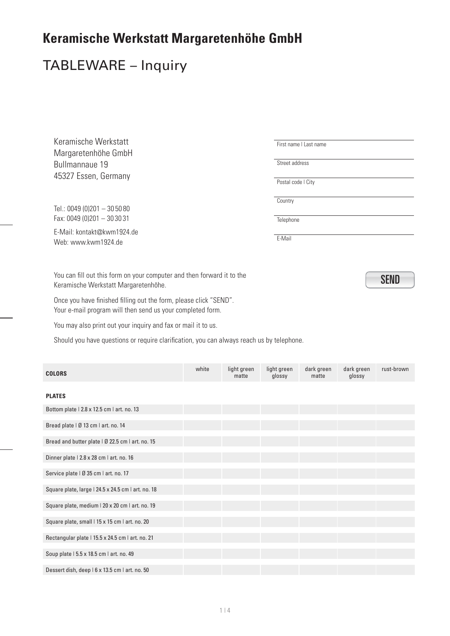#### TABLEWARE – Inquiry

Keramische Werkstatt Margaretenhöhe GmbH Bullmannaue 19 45327 Essen, Germany

Tel.: 0049 (0)201 – 30 50 80 Fax: 0049 (0)201 – 30 30 31

E-Mail: kontakt@kwm1924.de Web: www.kwm1924.de

You can fill out this form on your computer and then forward it to the  $\sqrt{SEND}$ Keramische Werkstatt Margaretenhöhe.

Once you have finished filling out the form, please click "SEND". Your e-mail program will then send us your completed form.

You may also print out your inquiry and fax or mail it to us.

Should you have questions or require clarification, you can always reach us by telephone.

| <b>COLORS</b>                                      | white | light green<br>matte | light green<br>glossy | dark green<br>matte | dark green<br>glossy | rust-brown |
|----------------------------------------------------|-------|----------------------|-----------------------|---------------------|----------------------|------------|
| <b>PLATES</b>                                      |       |                      |                       |                     |                      |            |
| Bottom plate   2.8 x 12.5 cm   art. no. 13         |       |                      |                       |                     |                      |            |
| Bread plate   Ø 13 cm   art. no. 14                |       |                      |                       |                     |                      |            |
| Bread and butter plate   Ø 22.5 cm   art. no. 15   |       |                      |                       |                     |                      |            |
| Dinner plate   2.8 x 28 cm   art. no. 16           |       |                      |                       |                     |                      |            |
| Service plate   Ø 35 cm   art. no. 17              |       |                      |                       |                     |                      |            |
| Square plate, large   24.5 x 24.5 cm   art. no. 18 |       |                      |                       |                     |                      |            |
| Square plate, medium   20 x 20 cm   art. no. 19    |       |                      |                       |                     |                      |            |
| Square plate, small   15 x 15 cm   art. no. 20     |       |                      |                       |                     |                      |            |
| Rectangular plate   15.5 x 24.5 cm   art. no. 21   |       |                      |                       |                     |                      |            |
| Soup plate   5.5 x 18.5 cm   art. no. 49           |       |                      |                       |                     |                      |            |
| Dessert dish, deep   6 x 13.5 cm   art. no. 50     |       |                      |                       |                     |                      |            |

First name | Last name

Street address

Postal code | City

Country

**Telephone** 

E-Mail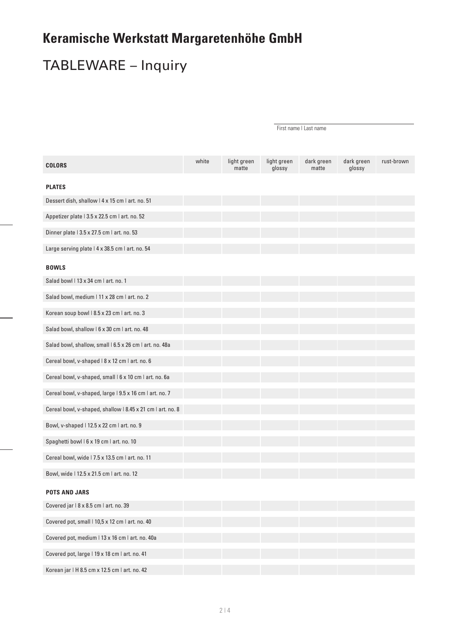## TABLEWARE – Inquiry

| <b>COLORS</b>                                              | white | light green<br>matte | light green<br>glossy | dark green<br>matte | dark green<br>glossy | rust-brown |
|------------------------------------------------------------|-------|----------------------|-----------------------|---------------------|----------------------|------------|
| <b>PLATES</b>                                              |       |                      |                       |                     |                      |            |
| Dessert dish, shallow   4 x 15 cm   art. no. 51            |       |                      |                       |                     |                      |            |
| Appetizer plate   3.5 x 22.5 cm   art. no. 52              |       |                      |                       |                     |                      |            |
| Dinner plate   3.5 x 27.5 cm   art. no. 53                 |       |                      |                       |                     |                      |            |
| Large serving plate   4 x 38.5 cm   art. no. 54            |       |                      |                       |                     |                      |            |
| <b>BOWLS</b>                                               |       |                      |                       |                     |                      |            |
| Salad bowl   13 x 34 cm   art. no. 1                       |       |                      |                       |                     |                      |            |
| Salad bowl, medium   11 x 28 cm   art. no. 2               |       |                      |                       |                     |                      |            |
| Korean soup bowl   8.5 x 23 cm   art. no. 3                |       |                      |                       |                     |                      |            |
| Salad bowl, shallow   6 x 30 cm   art. no. 48              |       |                      |                       |                     |                      |            |
| Salad bowl, shallow, small   6.5 x 26 cm   art. no. 48a    |       |                      |                       |                     |                      |            |
| Cereal bowl, v-shaped   8 x 12 cm   art. no. 6             |       |                      |                       |                     |                      |            |
| Cereal bowl, v-shaped, small   6 x 10 cm   art. no. 6a     |       |                      |                       |                     |                      |            |
| Cereal bowl, v-shaped, large   9.5 x 16 cm   art. no. 7    |       |                      |                       |                     |                      |            |
| Cereal bowl, v-shaped, shallow   8.45 x 21 cm   art. no. 8 |       |                      |                       |                     |                      |            |
| Bowl, v-shaped   12.5 x 22 cm   art. no. 9                 |       |                      |                       |                     |                      |            |
| Spaghetti bowl   6 x 19 cm   art. no. 10                   |       |                      |                       |                     |                      |            |
| Cereal bowl, wide   7.5 x 13.5 cm   art. no. 11            |       |                      |                       |                     |                      |            |
| Bowl, wide   12.5 x 21.5 cm   art. no. 12                  |       |                      |                       |                     |                      |            |
| <b>POTS AND JARS</b>                                       |       |                      |                       |                     |                      |            |
| Covered jar   8 x 8.5 cm   art. no. 39                     |       |                      |                       |                     |                      |            |
| Covered pot, small   10,5 x 12 cm   art. no. 40            |       |                      |                       |                     |                      |            |
| Covered pot, medium   13 x 16 cm   art. no. 40a            |       |                      |                       |                     |                      |            |
| Covered pot, large   19 x 18 cm   art. no. 41              |       |                      |                       |                     |                      |            |
| Korean jar   H 8.5 cm x 12.5 cm   art. no. 42              |       |                      |                       |                     |                      |            |

First name I Last name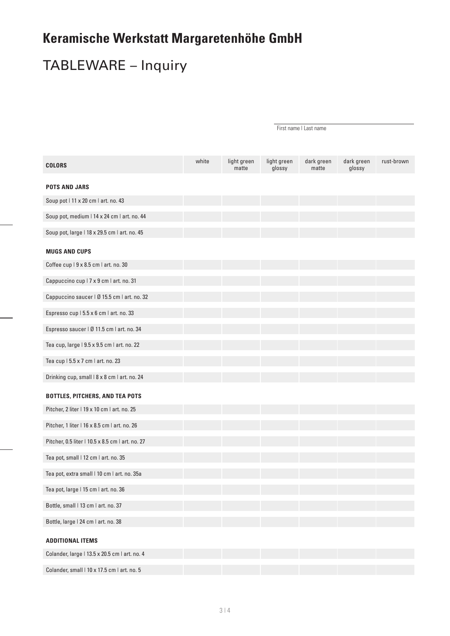# TABLEWARE – Inquiry

| <b>COLORS</b>                                    | white | light green<br>matte | light green<br>glossy | dark green<br>matte | dark green<br>glossy | rust-brown |
|--------------------------------------------------|-------|----------------------|-----------------------|---------------------|----------------------|------------|
| <b>POTS AND JARS</b>                             |       |                      |                       |                     |                      |            |
| Soup pot   11 x 20 cm   art. no. 43              |       |                      |                       |                     |                      |            |
| Soup pot, medium   14 x 24 cm   art. no. 44      |       |                      |                       |                     |                      |            |
| Soup pot, large   18 x 29.5 cm   art. no. 45     |       |                      |                       |                     |                      |            |
| <b>MUGS AND CUPS</b>                             |       |                      |                       |                     |                      |            |
| Coffee cup   9 x 8.5 cm   art. no. 30            |       |                      |                       |                     |                      |            |
| Cappuccino cup   7 x 9 cm   art. no. 31          |       |                      |                       |                     |                      |            |
| Cappuccino saucer   Ø 15.5 cm   art. no. 32      |       |                      |                       |                     |                      |            |
| Espresso cup   5.5 x 6 cm   art. no. 33          |       |                      |                       |                     |                      |            |
| Espresso saucer   Ø 11.5 cm   art. no. 34        |       |                      |                       |                     |                      |            |
| Tea cup, large   9.5 x 9.5 cm   art. no. 22      |       |                      |                       |                     |                      |            |
| Tea cup   5.5 x 7 cm   art. no. 23               |       |                      |                       |                     |                      |            |
| Drinking cup, small   8 x 8 cm   art. no. 24     |       |                      |                       |                     |                      |            |
| <b>BOTTLES, PITCHERS, AND TEA POTS</b>           |       |                      |                       |                     |                      |            |
| Pitcher, 2 liter   19 x 10 cm   art. no. 25      |       |                      |                       |                     |                      |            |
| Pitcher, 1 liter   16 x 8.5 cm   art. no. 26     |       |                      |                       |                     |                      |            |
| Pitcher, 0.5 liter   10.5 x 8.5 cm   art. no. 27 |       |                      |                       |                     |                      |            |
| Tea pot, small   12 cm   art. no. 35             |       |                      |                       |                     |                      |            |
| Tea pot, extra small   10 cm   art. no. 35a      |       |                      |                       |                     |                      |            |
| Tea pot, large   15 cm   art. no. 36             |       |                      |                       |                     |                      |            |
| Bottle, small   13 cm   art. no. 37              |       |                      |                       |                     |                      |            |
| Bottle, large   24 cm   art. no. 38              |       |                      |                       |                     |                      |            |
|                                                  |       |                      |                       |                     |                      |            |
| <b>ADDITIONAL ITEMS</b>                          |       |                      |                       |                     |                      |            |
| Colander, large   13.5 x 20.5 cm   art. no. 4    |       |                      |                       |                     |                      |            |
| Colander, small   10 x 17.5 cm   art. no. 5      |       |                      |                       |                     |                      |            |

First name I Last name